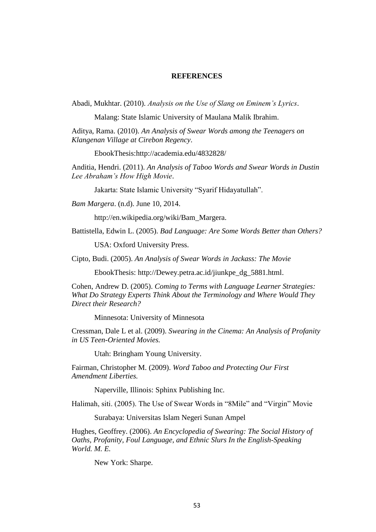## **REFERENCES**

Abadi, Mukhtar. (2010). *Analysis on the Use of Slang on Eminem's Lyrics*.

Malang: State Islamic University of Maulana Malik Ibrahim.

Aditya, Rama. (2010). *An Analysis of Swear Words among the Teenagers on Klangenan Village at Cirebon Regency*.

EbookThesis[:http://academia.edu/4832828/](http://academia.edu/4832828/)

Anditia, Hendri. (2011). *An Analysis of Taboo Words and Swear Words in Dustin Lee Abraham's How High Movie*.

Jakarta: State Islamic University "Syarif Hidayatullah".

*Bam Margera*. (n.d). June 10, 2014.

[http://en.wikipedia.org/wiki/Bam\\_](http://en.wikipedia.org/wiki/Bam)Margera.

Battistella, Edwin L. (2005). *Bad Language: Are Some Words Better than Others?*

USA: Oxford University Press.

Cipto, Budi. (2005). *An Analysis of Swear Words in Jackass: The Movie*

EbookThesis: [http://Dewey.petra.ac.id/jiunkpe\\_dg\\_5881.html.](http://dewey.petra.ac.id/jiunkpe_dg_5881.html)

Cohen, Andrew D. (2005). *Coming to Terms with Language Learner Strategies: What Do Strategy Experts Think About the Terminology and Where Would They Direct their Research?* 

Minnesota: University of Minnesota

Cressman, Dale L et al. (2009). *Swearing in the Cinema: An Analysis of Profanity in US Teen-Oriented Movies.* 

Utah: Bringham Young University.

Fairman, Christopher M. (2009). *Word Taboo and Protecting Our First Amendment Liberties.*

Naperville, Illinois: Sphinx Publishing Inc.

Halimah, siti. (2005). The Use of Swear Words in "8Mile" and "Virgin" Movie

Surabaya: Universitas Islam Negeri Sunan Ampel

Hughes, Geoffrey. (2006). *An Encyclopedia of Swearing: The Social History of Oaths, Profanity, Foul Language, and Ethnic Slurs In the English-Speaking World. M. E.*

New York: Sharpe.